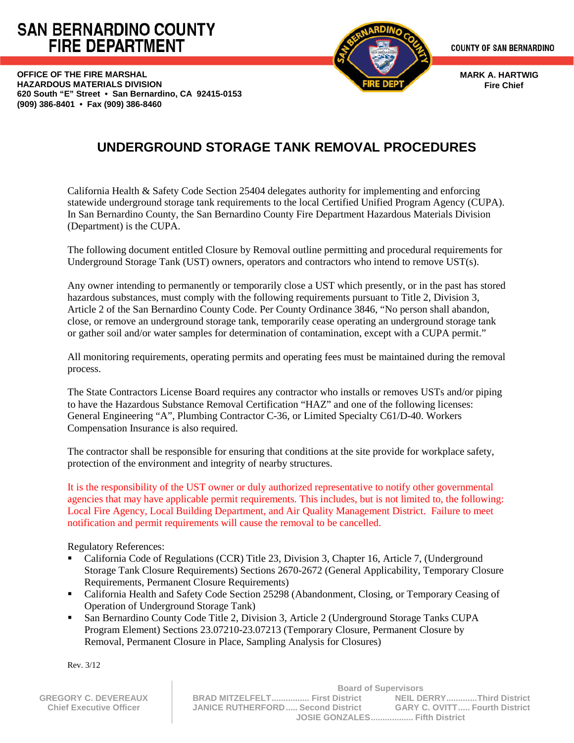# **SAN BERNARDINO COUNTY FIRE DEPARTMENT**

**OFFICE OF THE FIRE MARSHAL HAZARDOUS MATERIALS DIVISION 620 South "E" Street • San Bernardino, CA 92415-0153 (909) 386-8401 • Fax (909) 386-8460**



**MARK A. HARTWIG Fire Chief**

## **UNDERGROUND STORAGE TANK REMOVAL PROCEDURES**

California Health & Safety Code Section 25404 delegates authority for implementing and enforcing statewide underground storage tank requirements to the local Certified Unified Program Agency (CUPA). In San Bernardino County, the San Bernardino County Fire Department Hazardous Materials Division (Department) is the CUPA.

The following document entitled Closure by Removal outline permitting and procedural requirements for Underground Storage Tank (UST) owners, operators and contractors who intend to remove UST(s).

Any owner intending to permanently or temporarily close a UST which presently, or in the past has stored hazardous substances, must comply with the following requirements pursuant to Title 2, Division 3, Article 2 of the San Bernardino County Code. Per County Ordinance 3846, "No person shall abandon, close, or remove an underground storage tank, temporarily cease operating an underground storage tank or gather soil and/or water samples for determination of contamination, except with a CUPA permit."

All monitoring requirements, operating permits and operating fees must be maintained during the removal process.

The State Contractors License Board requires any contractor who installs or removes USTs and/or piping to have the Hazardous Substance Removal Certification "HAZ" and one of the following licenses: General Engineering "A", Plumbing Contractor C-36, or Limited Specialty C61/D-40. Workers Compensation Insurance is also required.

The contractor shall be responsible for ensuring that conditions at the site provide for workplace safety, protection of the environment and integrity of nearby structures.

It is the responsibility of the UST owner or duly authorized representative to notify other governmental agencies that may have applicable permit requirements. This includes, but is not limited to, the following: Local Fire Agency, Local Building Department, and Air Quality Management District. Failure to meet notification and permit requirements will cause the removal to be cancelled.

Regulatory References:

 $\mathbb{I}$ 

- California Code of Regulations (CCR) Title 23, Division 3, Chapter 16, Article 7, (Underground Storage Tank Closure Requirements) Sections 2670-2672 (General Applicability, Temporary Closure Requirements, Permanent Closure Requirements)
- California Health and Safety Code Section 25298 (Abandonment, Closing, or Temporary Ceasing of Operation of Underground Storage Tank)
- San Bernardino County Code Title 2, Division 3, Article 2 (Underground Storage Tanks CUPA Program Element) Sections 23.07210-23.07213 (Temporary Closure, Permanent Closure by Removal, Permanent Closure in Place, Sampling Analysis for Closures)

Rev. 3/12

|                                | <b>Board of Supervisors</b>       |                                      |
|--------------------------------|-----------------------------------|--------------------------------------|
| <b>GREGORY C. DEVEREAUX</b>    | BRAD MITZELFELT First District    | NEIL DERRYThird District             |
| <b>Chief Executive Officer</b> | JANICE RUTHERFORD Second District | <b>GARY C. OVITT Fourth District</b> |
|                                | JOSIE GONZALES Fifth District     |                                      |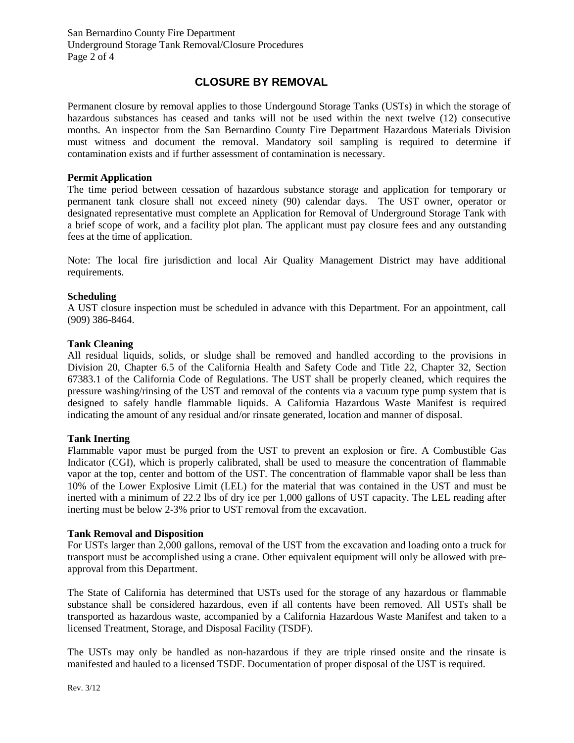### **CLOSURE BY REMOVAL**

Permanent closure by removal applies to those Undergound Storage Tanks (USTs) in which the storage of hazardous substances has ceased and tanks will not be used within the next twelve (12) consecutive months. An inspector from the San Bernardino County Fire Department Hazardous Materials Division must witness and document the removal. Mandatory soil sampling is required to determine if contamination exists and if further assessment of contamination is necessary.

#### **Permit Application**

The time period between cessation of hazardous substance storage and application for temporary or permanent tank closure shall not exceed ninety (90) calendar days. The UST owner, operator or designated representative must complete an Application for Removal of Underground Storage Tank with a brief scope of work, and a facility plot plan. The applicant must pay closure fees and any outstanding fees at the time of application.

Note: The local fire jurisdiction and local Air Quality Management District may have additional requirements.

#### **Scheduling**

A UST closure inspection must be scheduled in advance with this Department. For an appointment, call (909) 386-8464.

#### **Tank Cleaning**

All residual liquids, solids, or sludge shall be removed and handled according to the provisions in Division 20, Chapter 6.5 of the California Health and Safety Code and Title 22, Chapter 32, Section 67383.1 of the California Code of Regulations. The UST shall be properly cleaned, which requires the pressure washing/rinsing of the UST and removal of the contents via a vacuum type pump system that is designed to safely handle flammable liquids. A California Hazardous Waste Manifest is required indicating the amount of any residual and/or rinsate generated, location and manner of disposal.

#### **Tank Inerting**

Flammable vapor must be purged from the UST to prevent an explosion or fire. A Combustible Gas Indicator (CGI), which is properly calibrated, shall be used to measure the concentration of flammable vapor at the top, center and bottom of the UST. The concentration of flammable vapor shall be less than 10% of the Lower Explosive Limit (LEL) for the material that was contained in the UST and must be inerted with a minimum of 22.2 lbs of dry ice per 1,000 gallons of UST capacity. The LEL reading after inerting must be below 2-3% prior to UST removal from the excavation.

#### **Tank Removal and Disposition**

For USTs larger than 2,000 gallons, removal of the UST from the excavation and loading onto a truck for transport must be accomplished using a crane. Other equivalent equipment will only be allowed with preapproval from this Department.

The State of California has determined that USTs used for the storage of any hazardous or flammable substance shall be considered hazardous, even if all contents have been removed. All USTs shall be transported as hazardous waste, accompanied by a California Hazardous Waste Manifest and taken to a licensed Treatment, Storage, and Disposal Facility (TSDF).

The USTs may only be handled as non-hazardous if they are triple rinsed onsite and the rinsate is manifested and hauled to a licensed TSDF. Documentation of proper disposal of the UST is required.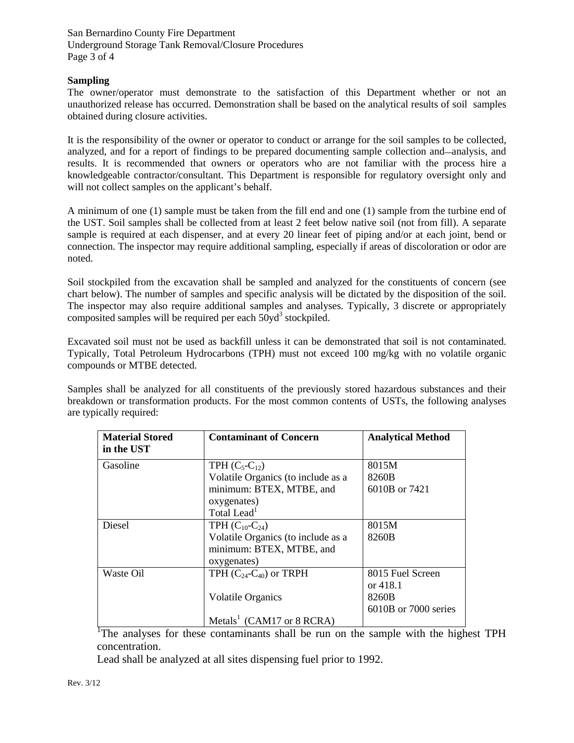San Bernardino County Fire Department Underground Storage Tank Removal/Closure Procedures Page 3 of 4

#### **Sampling**

The owner/operator must demonstrate to the satisfaction of this Department whether or not an unauthorized release has occurred. Demonstration shall be based on the analytical results of soil samples obtained during closure activities.

It is the responsibility of the owner or operator to conduct or arrange for the soil samples to be collected, analyzed, and for a report of findings to be prepared documenting sample collection and—analysis, and results. It is recommended that owners or operators who are not familiar with the process hire a knowledgeable contractor/consultant. This Department is responsible for regulatory oversight only and will not collect samples on the applicant's behalf.

A minimum of one (1) sample must be taken from the fill end and one (1) sample from the turbine end of the UST. Soil samples shall be collected from at least 2 feet below native soil (not from fill). A separate sample is required at each dispenser, and at every 20 linear feet of piping and/or at each joint, bend or connection. The inspector may require additional sampling, especially if areas of discoloration or odor are noted.

Soil stockpiled from the excavation shall be sampled and analyzed for the constituents of concern (see chart below). The number of samples and specific analysis will be dictated by the disposition of the soil. The inspector may also require additional samples and analyses. Typically, 3 discrete or appropriately composited samples will be required per each  $50yd^3$  stockpiled.

Excavated soil must not be used as backfill unless it can be demonstrated that soil is not contaminated. Typically, Total Petroleum Hydrocarbons (TPH) must not exceed 100 mg/kg with no volatile organic compounds or MTBE detected.

Samples shall be analyzed for all constituents of the previously stored hazardous substances and their breakdown or transformation products. For the most common contents of USTs, the following analyses are typically required:

| <b>Material Stored</b><br>in the UST | <b>Contaminant of Concern</b>         | <b>Analytical Method</b> |
|--------------------------------------|---------------------------------------|--------------------------|
| Gasoline                             | TPH $(C_5-C_{12})$                    | 8015M                    |
|                                      | Volatile Organics (to include as a    | 8260B                    |
|                                      | minimum: BTEX, MTBE, and              | 6010B or 7421            |
|                                      | oxygenates)                           |                          |
|                                      | Total Lead <sup>1</sup>               |                          |
| Diesel                               | TPH $(C_{10}$ - $C_{24})$             | 8015M                    |
|                                      | Volatile Organics (to include as a    | 8260B                    |
|                                      | minimum: BTEX, MTBE, and              |                          |
|                                      | oxygenates)                           |                          |
| Waste Oil                            | TPH $(C_{24}$ - $C_{40}$ ) or TRPH    | 8015 Fuel Screen         |
|                                      |                                       | or 418.1                 |
|                                      | <b>Volatile Organics</b>              | 8260B                    |
|                                      |                                       | 6010B or 7000 series     |
|                                      | Metals <sup>1</sup> (CAM17 or 8 RCRA) |                          |

The analyses for these contaminants shall be run on the sample with the highest TPH concentration.

Lead shall be analyzed at all sites dispensing fuel prior to 1992.